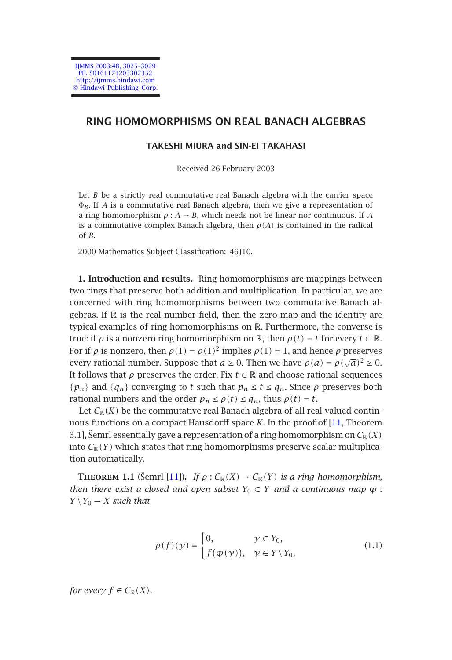IJMMS 2003:48, 3025–3029 PII. S0161171203302352 http://ijmms.hindawi.com © Hindawi Publishing Corp.

# **RING HOMOMORPHISMS ON REAL BANACH ALGEBRAS**

## **TAKESHI MIURA and SIN-EI TAKAHASI**

Received 26 February 2003

Let *B* be a strictly real commutative real Banach algebra with the carrier space <sup>Φ</sup>*B*. If *<sup>A</sup>* is a commutative real Banach algebra, then we give a representation of a ring homomorphism  $\rho$  :  $A \rightarrow B$ , which needs not be linear nor continuous. If *A* is a commutative complex Banach algebra, then  $\rho(A)$  is contained in the radical of *B*.

2000 Mathematics Subject Classification: 46J10.

**1. Introduction and results.** Ring homomorphisms are mappings between two rings that preserve both addition and multiplication. In particular, we are concerned with ring homomorphisms between two commutative Banach algebras. If  $\mathbb R$  is the real number field, then the zero map and th[e id](#page-4-0)entity are typical examples of ring homomorphisms on R. Furthermore, the converse is true: if  $\rho$  is a nonzero ring homomorphism on  $\mathbb{R}$ , then  $\rho(t) = t$  for every  $t \in \mathbb{R}$ . For if  $\rho$  is nonzero, then  $\rho(1) = \rho(1)^2$  implies  $\rho(1) = 1$ , and hence  $\rho$  preserves every rational number. Suppose that *a*  $\geq$  0. Then we have  $\rho(a) = \rho(\sqrt{a})^2 \geq 0$ . I[t](#page-4-0) follows that  $\rho$  pr[es](#page-4-0)erves the order. Fix  $t \in \mathbb{R}$  and choose rational sequences  ${p_n}$  and  ${q_n}$  converging to *t* such that  $p_n \le t \le q_n$ . Since  $\rho$  preserves both rational numbers and the order  $p_n \le \rho(t) \le q_n$ , thus  $\rho(t) = t$ .

Let  $C_{\mathbb{R}}(K)$  be the commutative real Banach algebra of all real-valued continuous functions on a compact Hausdorff space *K*. In the proof of [11, Theorem 3.1], Šemrl essentially gave a representation of a ring homomorphism on  $C_{\mathbb{R}}(X)$ into  $C_{\mathbb{R}}(Y)$  which states that ring homomorphisms preserve scalar multiplication automatically.

**THEOREM 1.1** (Šemrl [11]). *If*  $\rho$  :  $C_{\mathbb{R}}(X) \to C_{\mathbb{R}}(Y)$  *is a ring homomorphism, then there exist a closed and open subset*  $Y_0 \subset Y$  *and a continuous map*  $\varphi$ :  $Y \setminus Y_0 \rightarrow X$  *such that* 

$$
\rho(f)(y) = \begin{cases} 0, & y \in Y_0, \\ f(\varphi(y)), & y \in Y \setminus Y_0, \end{cases}
$$
\n(1.1)

*for every*  $f \in C_{\mathbb{R}}(X)$ *.*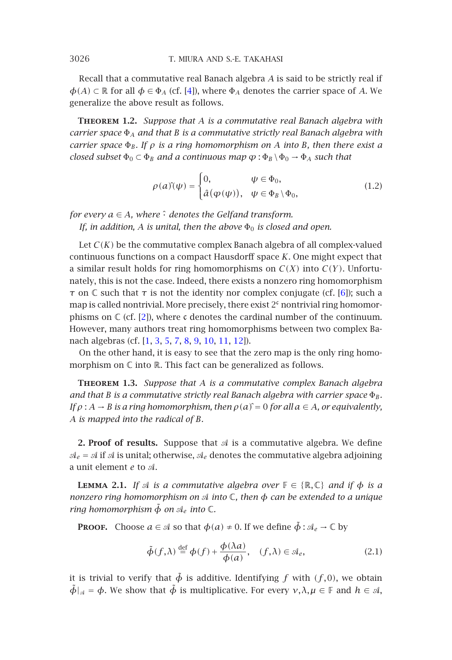#### 3026 T. MIURA AND S.-E. TAKAHASI

Recall that a commutative real Banach algebra *A* is said to be strictly real if  $\phi$ (*A*) ⊂ ℝ for all  $\phi$  ∈  $\Phi$ <sub>*A*</sub> (cf. [4]), where  $\Phi$ <sub>*A*</sub> denotes the carrier space of *A*. We generalize the above result as follows.

**Theorem 1.2.** *Suppose that A is a commutative real Banach algebra with carrier space* <sup>Φ</sup>*A and that <sup>B</sup> is a commutative strictly real Banach algebra with carrier space* <sup>Φ</sup>*B. If <sup>ρ</sup> is a ring homomorphism on <sup>A</sup> into <sup>B</sup>, then there exist a closed subset*  $\Phi_0 \subset \Phi_B$  *and a continuous map*  $\phi : \Phi_B \setminus \Phi_0 \to \Phi_A$  *such that* 

<span id="page-1-1"></span>
$$
\rho(a)(\psi) = \begin{cases} 0, & \psi \in \Phi_0, \\ \hat{a}(\varphi(\psi)), & \psi \in \Phi_B \setminus \Phi_0, \end{cases}
$$
 (1.2)

*for every*  $a \in A$ *, [wh](#page-3-0)ere*  $\hat{\cdot}$  *denotes the Gelfand transform. If, in addition, [A](#page-3-1) is unital, then the above*  $\Phi_0$  *is closed and open.* 

<span id="page-1-2"></span>Let  $C(K)$  be the commutative complex Banach algebra of all complex-valued continuous functions on a compact Hausdorff space *K*. One might expect that a similar result holds for ring homomorphisms on  $C(X)$  into  $C(Y)$ . Unfortunately, this is not the case. Indeed, there exists a nonzero ring homomorphism *τ* on  $\mathbb C$  such that *τ* is not the identity nor complex conjugate (cf. [6]); such a map is called nontrivial. More precisely, there exist  $2<sup>c</sup>$  nontrivial ring homomorphisms on  $\mathbb{C}$  (cf. [2]), where c denotes the cardinal number of the continuum. However, many authors treat ring homomorphisms between two complex Banach algebras (cf. [1, 3, 5, 7, 8, 9, 10, 11, 12]).

<span id="page-1-0"></span>On the other hand, it is easy to see that the zero map is the only ring homomorphism on C into R. This fact can be generalized as follows.

**Theorem 1.3.** *Suppose that A is a commutative complex Banach algebra and that <sup>B</sup> is a commutative strictly real Banach algebra with carrier space* <sup>Φ</sup>*B. If*  $\rho$  :  $A \rightarrow B$  *is a ring homomorphism, then*  $\rho(a)^{\hat{}} = 0$  *for all*  $a \in A$ *, or equivalently, A is mapped into the radical of B.*

**2. Proof of results.** Suppose that  $\mathcal A$  is a commutative algebra. We define  $A_e = A$  if  $A$  is unital; otherwise,  $A_e$  denotes the commutative algebra adjoining a unit element  $e$  to  ${\mathcal A}.$ 

**LEMMA 2.1.** *If*  $\mathcal{A}$  *is a commutative algebra over*  $F \in \{ \mathbb{R}, \mathbb{C} \}$  *and if*  $\phi$  *is a nonzero ring homomorphism on into* <sup>C</sup>*, then <sup>φ</sup> can be extended to a unique ring homomorphism*  $\phi$  *on*  $\mathcal{A}_e$  *into*  $\mathbb{C}$ *.* 

**PROOF.** Choose  $a \in \mathcal{A}$  so that  $\phi(a) \neq 0$ . If we define  $\tilde{\phi} : \mathcal{A}_e \to \mathbb{C}$  by

$$
\tilde{\phi}(f,\lambda) \stackrel{\text{def}}{=} \phi(f) + \frac{\phi(\lambda a)}{\phi(a)}, \quad (f,\lambda) \in \mathcal{A}_e,\tag{2.1}
$$

it is trivial to verify that  $\tilde{\phi}$  is additive. Identifying *f* with  $(f,0)$ , we obtain  $\tilde{\phi}|_{\mathcal{A}} = \phi$ . We show that  $\tilde{\phi}$  is multiplicative. For every  $v, \lambda, \mu \in \mathbb{F}$  and  $h \in \mathcal{A}$ ,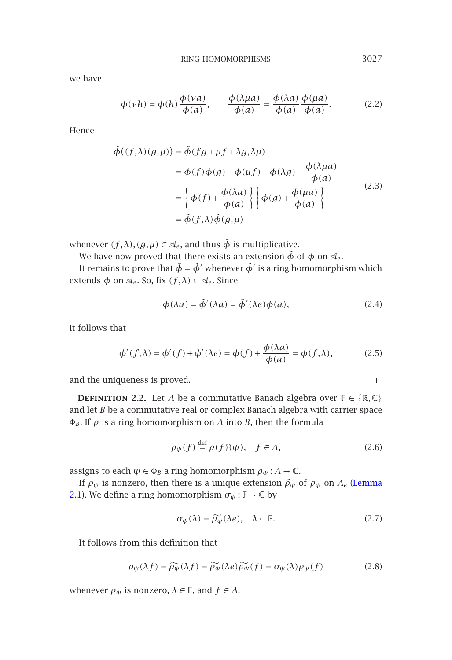RING HOMOMORPHISMS 3027

we have

$$
\phi(\nu h) = \phi(h)\frac{\phi(\nu a)}{\phi(a)}, \qquad \frac{\phi(\lambda \mu a)}{\phi(a)} = \frac{\phi(\lambda a)}{\phi(a)}\frac{\phi(\mu a)}{\phi(a)}.
$$
 (2.2)

Hence

$$
\tilde{\phi}((f,\lambda)(g,\mu)) = \tilde{\phi}(fg + \mu f + \lambda g, \lambda \mu)
$$
\n
$$
= \phi(f)\phi(g) + \phi(\mu f) + \phi(\lambda g) + \frac{\phi(\lambda \mu a)}{\phi(a)}
$$
\n
$$
= \left\{\phi(f) + \frac{\phi(\lambda a)}{\phi(a)}\right\} \left\{\phi(g) + \frac{\phi(\mu a)}{\phi(a)}\right\}
$$
\n
$$
= \tilde{\phi}(f,\lambda)\tilde{\phi}(g,\mu)
$$
\n(2.3)

whenever  $(f, \lambda)$ ,  $(g, \mu) \in \mathcal{A}_e$ , and thus  $\tilde{\phi}$  is multiplicative.

<span id="page-2-0"></span>We have now proved that there exists an extension  $\tilde{\phi}$  of  $\phi$  on  $\mathcal{A}_e$ . It remains to prove that  $\tilde{\phi} = \tilde{\phi}'$  whenever  $\tilde{\phi}'$  is a ring homomorphism which extends  $\phi$  on  $\mathcal{A}_e$ . So, fix  $(f, \lambda) \in \mathcal{A}_e$ . Since

$$
\phi(\lambda a) = \tilde{\phi}'(\lambda a) = \tilde{\phi}'(\lambda e)\phi(a),\tag{2.4}
$$

it follows that

$$
\tilde{\phi}'(f,\lambda) = \tilde{\phi}'(f) + \tilde{\phi}'(\lambda e) = \phi(f) + \frac{\phi(\lambda a)}{\phi(a)} = \tilde{\phi}(f,\lambda),\tag{2.5}
$$

and the uniqueness is proved.

<span id="page-2-1"></span> $\Box$ 

**[D](#page-1-0)EFINITION** 2.2. Let *A* be a commutative Banach algebra over  $\mathbb{F} \in \{ \mathbb{R}, \mathbb{C} \}$ and let *B* be a commutative real or complex Banach algebra with carrier space <sup>Φ</sup>*B*. If *<sup>ρ</sup>* is a ring homomorphism on *<sup>A</sup>* into *<sup>B</sup>*, then the formula

$$
\rho_{\psi}(f) \stackrel{\text{def}}{=} \rho(f)(\psi), \quad f \in A,\tag{2.6}
$$

assigns to each  $\psi \in \Phi_B$  a ring homomorphism  $\rho_\psi : A \to \mathbb{C}.$ 

If  $\rho_{\psi}$  is nonzero, then there is a unique extension  $\rho_{\psi}$  of  $\rho_{\psi}$  on  $A_e$  (Lemma 2.1). We define a ring homomorphism  $\sigma_\psi : \mathbb{F} \to \mathbb{C}$  by

$$
\sigma_{\psi}(\lambda) = \widetilde{\rho_{\psi}}(\lambda e), \quad \lambda \in \mathbb{F}.\tag{2.7}
$$

It follows from this definition that

$$
\rho_{\psi}(\lambda f) = \widetilde{\rho_{\psi}}(\lambda f) = \widetilde{\rho_{\psi}}(\lambda e) \widetilde{\rho_{\psi}}(f) = \sigma_{\psi}(\lambda) \rho_{\psi}(f) \tag{2.8}
$$

whenever  $\rho_{\psi}$  is nonzero,  $\lambda \in \mathbb{F}$ , and  $f \in A$ .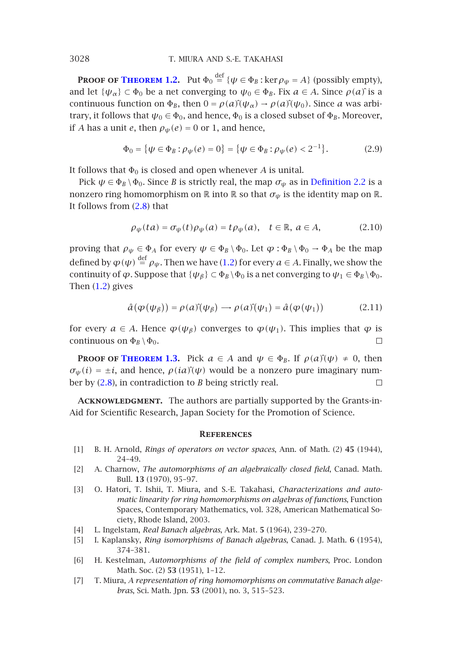#### 3028 T. MIURA AND S.-E. TAKAHASI

**PROOF OF THEOREM 1.2.** Put  $\Phi_0 \stackrel{\text{def}}{=} {\psi \in \Phi_B : \ker \rho_{\psi} = A}$  [\(possibly emp](#page-2-0)ty), and let  $\{\psi_{\alpha}\}\subset \Phi_0$  be a net converging to  $\psi_0 \in \Phi_B$ . Fix  $a \in A$ . Since  $\rho(a)$ <sup>c</sup> is a continuous fun[ction](#page-2-1) on  $\Phi_B$ , then  $0 = \rho(a)\hat{v}(\psi_\alpha) \rightarrow \rho(a)\hat{v}(\psi_0)$ . Since *a* was arbitrary, it follows that  $\psi_0 \in \Phi_0$ , and hence,  $\Phi_0$  is a closed subset of  $\Phi_B$ . Moreover, if *A* has a unit *e*, then  $\rho_{\psi}(e) = 0$  or 1, and hence,

$$
\Phi_0 = \{ \psi \in \Phi_B : \rho_\psi(e) = 0 \} = \{ \psi \in \Phi_B : \rho_\psi(e) < 2^{-1} \}. \tag{2.9}
$$

It follows that  $\Phi_0$  is closed and open whenever *A* is unital.

Pick  $\psi \in \Phi_B \setminus \Phi_0$ . Since *B* is strictly real, the map  $\sigma_{\psi}$  as in Definition 2.2 is a nonzero ring homomorphism on  $\mathbb R$  into  $\mathbb R$  so that  $\sigma_\psi$  is the identity map on  $\mathbb R$ . It follows from (2.8) that

$$
\rho_{\psi}(ta) = \sigma_{\psi}(t)\rho_{\psi}(a) = t\rho_{\psi}(a), \quad t \in \mathbb{R}, \ a \in A,
$$
\n(2.10)

proving that  $\rho_{\psi} \in \Phi_A$  for every  $\psi \in \Phi_B \setminus \Phi_0$ . Let  $\varphi : \Phi_B \setminus \Phi_0 \to \Phi_A$  be the map defined by  $\varphi(\psi) \stackrel{\text{def}}{=} \rho_{\psi}$ . Then we have (1.2) for every  $a \in A$ . Finally, we show the contin[uity o](#page-2-1)f  $\varphi$ . Suppose that  $\{\psi_\beta\} \subset \Phi_B \setminus \Phi_0$  is a net converging to  $\psi_1 \in \Phi_B \setminus \Phi_0$ . Then  $(1.2)$  gives

$$
\hat{a}(\varphi(\psi_{\beta})) = \rho(a)(\psi_{\beta}) \longrightarrow \rho(a)(\psi_1) = \hat{a}(\varphi(\psi_1)) \tag{2.11}
$$

<span id="page-3-1"></span>for every *a* ∈ *A*. Hence  $\varphi(\psi_{\beta})$  converges to  $\varphi(\psi_1)$ . This implies that  $\varphi$  is continuous on  $\Phi_{\beta} \setminus \Phi_0$ . continuous on  $\Phi_B \setminus \Phi_0$ .

<span id="page-3-0"></span>**PROOF OF THEOREM 1.3.** Pick  $a \in A$  and  $\psi \in \Phi_B$ . If  $\rho(a)\hat{ }(\psi) \neq 0$ , then *σ<sub>Ψ</sub>*(*i*) = ±*i*, and hence, *ρ*(*ia*)ˆ(*ψ*) would be a nonzero pure imaginary number by (2.8), in contradiction to *B* being strictly real. ber by (2.8), in contradiction to *B* being strictly real.

**Acknowledgment.** The authors are partially supported by the Grants-in-Aid for Scientific Research, Japan Society for the Promotion of Science.

### **References**

- [1] B. H. Arnold, *Rings of operators on vector spaces*, Ann. of Math. (2) **45** (1944), 24–49.
- [2] A. Charnow, *The automorphisms of an algebraically closed field*, Canad. Math. Bull. **13** (1970), 95–97.
- [3] O. Hatori, T. Ishii, T. Miura, and S.-E. Takahasi, *Characterizations and automatic linearity for ring homomorphisms on algebras of functions*, Function Spaces, Contemporary Mathematics, vol. 328, American Mathematical Society, Rhode Island, 2003.
- [4] L. Ingelstam, *Real Banach algebras*, Ark. Mat. **5** (1964), 239–270.
- [5] I. Kaplansky, *Ring isomorphisms of Banach algebras*, Canad. J. Math. **6** (1954), 374–381.
- [6] H. Kestelman, *Automorphisms of the field of complex numbers*, Proc. London Math. Soc. (2) **53** (1951), 1–12.
- [7] T. Miura, *A representation of ring homomorphisms on commutative Banach algebras*, Sci. Math. Jpn. **53** (2001), no. 3, 515–523.